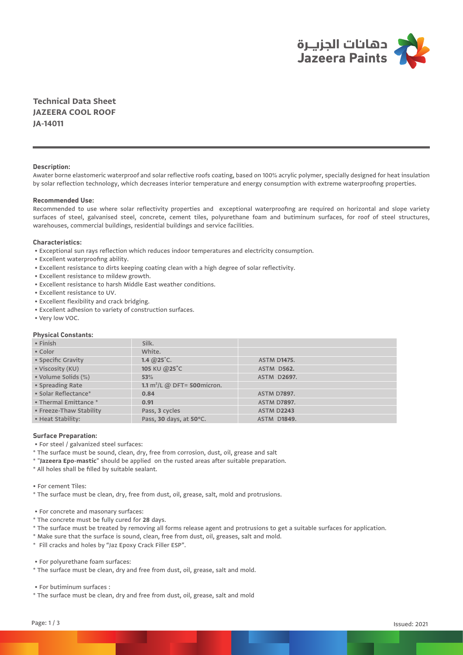

**Technical Data Sheet JAZEERA COOL ROOF JA-14011**

## **Description:**

Awater borne elastomeric waterproof and solar reflective roofs coating, based on 100% acrylic polymer, specially designed for heat insulation by solar reflection technology, which decreases interior temperature and energy consumption with extreme waterproofing properties.

## **Recommended Use:**

Recommended to use where solar reflectivity properties and exceptional waterproofing are required on horizontal and slope variety surfaces of steel, galvanised steel, concrete, cement tiles, polyurethane foam and butiminum surfaces, for roof of steel structures, warehouses, commercial buildings, residential buildings and service facilities.

### **Characteristics:**

- Exceptional sun rays reflection which reduces indoor temperatures and electricity consumption.
- Excellent waterproofing ability.
- Excellent resistance to dirts keeping coating clean with a high degree of solar reflectivity.
- Excellent resistance to mildew growth.
- Excellent resistance to harsh Middle East weather conditions.
- Excellent resistance to UV.
- Excellent flexibility and crack bridging.
- Excellent adhesion to variety of construction surfaces.
- Very low VOC.

### **Physical Constants:**

| $\cdot$ Finish          | Silk.                          |                    |
|-------------------------|--------------------------------|--------------------|
| • Color                 | White.                         |                    |
| • Specific Gravity      | 1.4 $@25$ °C.                  | <b>ASTM D1475.</b> |
| · Viscosity (KU)        | 105 KU @25°C                   | ASTM D562.         |
| • Volume Solids (%)     | 53%                            | <b>ASTM D2697.</b> |
| • Spreading Rate        | 1.1 $m^2/L$ @ DFT= 500 micron. |                    |
| • Solar Reflectance*    | 0.84                           | <b>ASTM D7897.</b> |
| • Thermal Emittance *   | 0.91                           | <b>ASTM D7897.</b> |
| • Freeze-Thaw Stability | Pass, 3 cycles                 | <b>ASTM D2243</b>  |
| • Heat Stability:       | Pass, 30 days, at 50°C.        | <b>ASTM D1849.</b> |

#### **Surface Preparation:**

• For steel / galvanized steel surfaces:

- \* The surface must be sound, clean, dry, free from corrosion, dust, oil, grease and salt
- \* "**Jazeera Epo-mastic**" should be applied on the rusted areas after suitable preparation.
- \* All holes shall be filled by suitable sealant.
- For cement Tiles:
- \* The surface must be clean, dry, free from dust, oil, grease, salt, mold and protrusions.
- For concrete and masonary surfaces:
- \* The concrete must be fully cured for **28** days.
- \* The surface must be treated by removing all forms release agent and protrusions to get a suitable surfaces for application.
- \* Make sure that the surface is sound, clean, free from dust, oil, greases, salt and mold.
- \* Fill cracks and holes by "Jaz Epoxy Crack Filler ESP".

• For polyurethane foam surfaces:

\* The surface must be clean, dry and free from dust, oil, grease, salt and mold.

• For butiminum surfaces :

\* The surface must be clean, dry and free from dust, oil, grease, salt and mold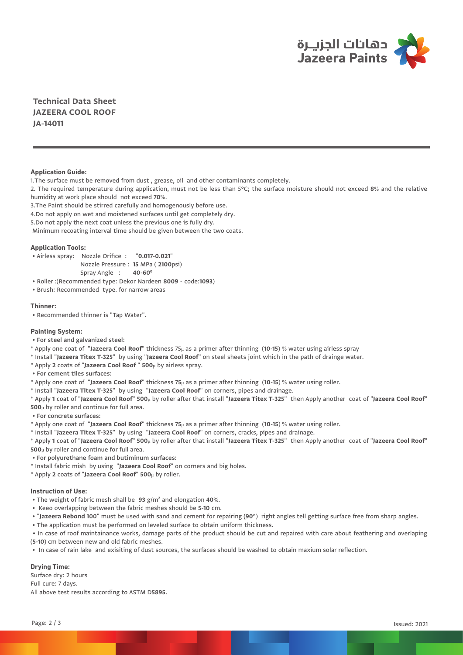

**Technical Data Sheet JAZEERA COOL ROOF JA-14011**

### **Application Guide:**

1.The surface must be removed from dust , grease, oil and other contaminants completely.

2. The required temperature during application, must not be less than 5°C; the surface moisture should not exceed **8**% and the relative humidity at work place should not exceed **70**%.

3.The Paint should be stirred carefully and homogenously before use.

4.Do not apply on wet and moistened surfaces until get completely dry.

5.Do not apply the next coat unless the previous one is fully dry.

Minimum recoating interval time should be given between the two coats.

#### **Application Tools:**

• Airless spray: Nozzle Orifice : "**0.017-0.021**"

Nozzle Pressure : **15** MPa ( **2100**psi)

Spray Angle : **40-600**

• Roller :(Recommended type: Dekor Nardeen **8009** - code:**1093**)

• Brush: Recommended type. for narrow areas

## **Thinner:**

• Recommended thinner is "Tap Water".

### **Painting System:**

 **• For steel and galvanized steel:**

\* Apply one coat of "**Jazeera Cool Roof**" thickness 75µ as a primer after thinning (**10-15**) % water using airless spray

- \* Install "**Jazeera Titex T-325**" by using "**Jazeera Cool Roof**" on steel sheets joint which in the path of drainge water.
- \* Apply **2** coats of "**Jazeera Cool Roof** " **500**µ by airless spray.

 **• For cement tiles surfaces:** 

\* Apply one coat of "**Jazeera Cool Roof**" thickness **75**µ as a primer after thinning (**10-15**) % water using roller.

\* Install "**Jazeera Titex T-325**" by using "**Jazeera Cool Roof**" on corners, pipes and drainage.

\* Apply **1** coat of "**Jazeera Cool Roof**" **500**µ by roller after that install "**Jazeera Titex T-325**" then Apply another coat of "**Jazeera Cool Roof**" **500**µ by roller and continue for full area.

 **• For concrete surfaces:** 

\* Apply one coat of "**Jazeera Cool Roof**" thickness **75**µ as a primer after thinning (**10-15**) % water using roller.

\* Install "**Jazeera Titex T-325**" by using "**Jazeera Cool Roof**" on corners, cracks, pipes and drainage.

\* Apply **1** coat of "**Jazeera Cool Roof**" **500**µ by roller after that install "**Jazeera Titex T-325**" then Apply another coat of "**Jazeera Cool Roof**" **500**µ by roller and continue for full area.

 **• For polyurethane foam and butiminum surfaces:**

\* Install fabric mish by using "**Jazeera Cool Roof**" on corners and big holes.

\* Apply **2** coats of "**Jazeera Cool Roof**" **500**µ by roller.

## **Instruction of Use:**

• The weight of fabric mesh shall be **93** g/m² and elongation **40**%.

- Keeo overlapping between the fabric meshes should be **5-10** cm.
- "**Jazeera Rebond 100**" must be used with sand and cement for repairing **(90**°) right angles tell getting surface free from sharp angles.
- The application must be performed on leveled surface to obtain uniform thickness.

 • In case of roof maintainance works, damage parts of the product should be cut and repaired with care about feathering and overlaping (**5-10**) cm between new and old fabric meshes.

• In case of rain lake and exisiting of dust sources, the surfaces should be washed to obtain maxium solar reflection.

# **Drying Time:**

Surface dry: 2 hours Full cure: 7 days. All above test results according to ASTM D**5895.**